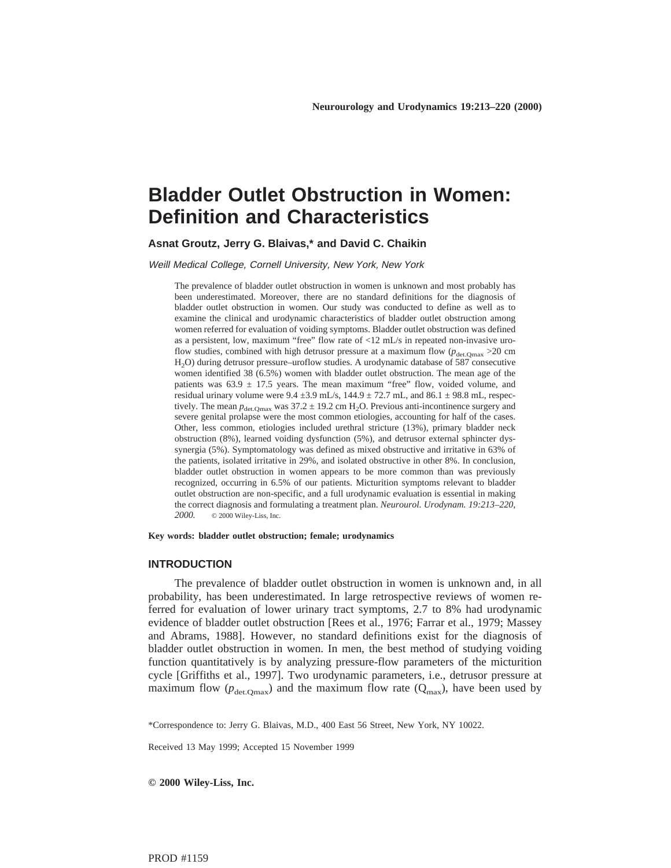# **Bladder Outlet Obstruction in Women: Definition and Characteristics**

**Asnat Groutz, Jerry G. Blaivas,\* and David C. Chaikin**

Weill Medical College, Cornell University, New York, New York

The prevalence of bladder outlet obstruction in women is unknown and most probably has been underestimated. Moreover, there are no standard definitions for the diagnosis of bladder outlet obstruction in women. Our study was conducted to define as well as to examine the clinical and urodynamic characteristics of bladder outlet obstruction among women referred for evaluation of voiding symptoms. Bladder outlet obstruction was defined as a persistent, low, maximum "free" flow rate of <12 mL/s in repeated non-invasive uroflow studies, combined with high detrusor pressure at a maximum flow  $(p_{\text{det.Omax}} > 20 \text{ cm})$ H<sub>2</sub>O) during detrusor pressure–uroflow studies. A urodynamic database of 587 consecutive women identified 38 (6.5%) women with bladder outlet obstruction. The mean age of the patients was  $63.9 \pm 17.5$  years. The mean maximum "free" flow, voided volume, and residual urinary volume were  $9.4 \pm 3.9$  mL/s,  $144.9 \pm 72.7$  mL, and  $86.1 \pm 98.8$  mL, respectively. The mean  $p_{\text{det,Qmax}}$  was  $37.2 \pm 19.2$  cm H<sub>2</sub>O. Previous anti-incontinence surgery and severe genital prolapse were the most common etiologies, accounting for half of the cases. Other, less common, etiologies included urethral stricture (13%), primary bladder neck obstruction (8%), learned voiding dysfunction (5%), and detrusor external sphincter dyssynergia (5%). Symptomatology was defined as mixed obstructive and irritative in 63% of the patients, isolated irritative in 29%, and isolated obstructive in other 8%. In conclusion, bladder outlet obstruction in women appears to be more common than was previously recognized, occurring in 6.5% of our patients. Micturition symptoms relevant to bladder outlet obstruction are non-specific, and a full urodynamic evaluation is essential in making the correct diagnosis and formulating a treatment plan. *Neurourol. Urodynam. 19:213–220, 2000.* © 2000 Wiley-Liss, Inc.

**Key words: bladder outlet obstruction; female; urodynamics**

## **INTRODUCTION**

The prevalence of bladder outlet obstruction in women is unknown and, in all probability, has been underestimated. In large retrospective reviews of women referred for evaluation of lower urinary tract symptoms, 2.7 to 8% had urodynamic evidence of bladder outlet obstruction [Rees et al., 1976; Farrar et al., 1979; Massey and Abrams, 1988]. However, no standard definitions exist for the diagnosis of bladder outlet obstruction in women. In men, the best method of studying voiding function quantitatively is by analyzing pressure-flow parameters of the micturition cycle [Griffiths et al., 1997]. Two urodynamic parameters, i.e., detrusor pressure at maximum flow ( $p_{\text{det.Omax}}$ ) and the maximum flow rate ( $Q_{\text{max}}$ ), have been used by

\*Correspondence to: Jerry G. Blaivas, M.D., 400 East 56 Street, New York, NY 10022.

Received 13 May 1999; Accepted 15 November 1999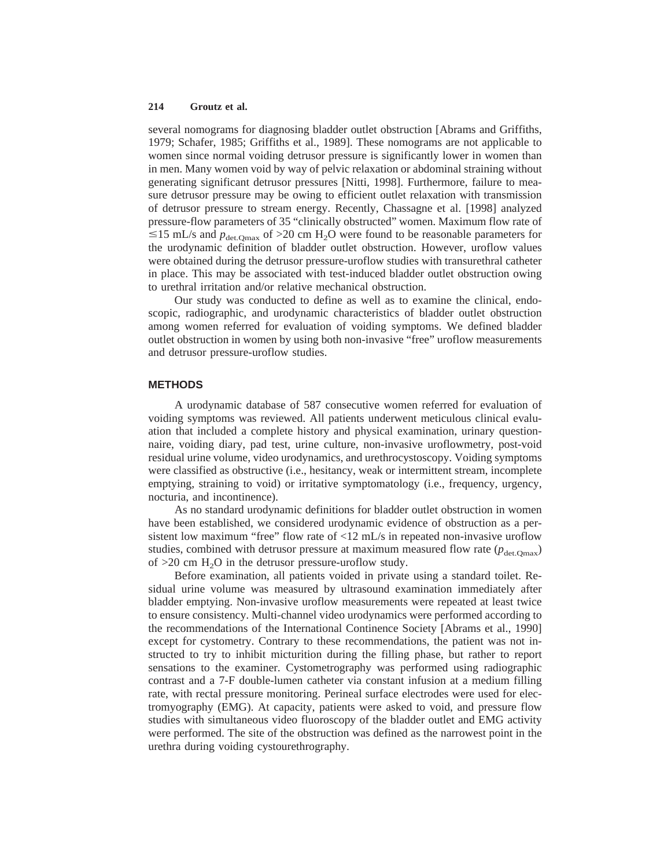several nomograms for diagnosing bladder outlet obstruction [Abrams and Griffiths, 1979; Schafer, 1985; Griffiths et al., 1989]. These nomograms are not applicable to women since normal voiding detrusor pressure is significantly lower in women than in men. Many women void by way of pelvic relaxation or abdominal straining without generating significant detrusor pressures [Nitti, 1998]. Furthermore, failure to measure detrusor pressure may be owing to efficient outlet relaxation with transmission of detrusor pressure to stream energy. Recently, Chassagne et al. [1998] analyzed pressure-flow parameters of 35 "clinically obstructed" women. Maximum flow rate of  $\leq$ 15 mL/s and  $p_{\text{det.Omax}}$  of >20 cm H<sub>2</sub>O were found to be reasonable parameters for the urodynamic definition of bladder outlet obstruction. However, uroflow values were obtained during the detrusor pressure-uroflow studies with transurethral catheter in place. This may be associated with test-induced bladder outlet obstruction owing to urethral irritation and/or relative mechanical obstruction.

Our study was conducted to define as well as to examine the clinical, endoscopic, radiographic, and urodynamic characteristics of bladder outlet obstruction among women referred for evaluation of voiding symptoms. We defined bladder outlet obstruction in women by using both non-invasive "free" uroflow measurements and detrusor pressure-uroflow studies.

### **METHODS**

A urodynamic database of 587 consecutive women referred for evaluation of voiding symptoms was reviewed. All patients underwent meticulous clinical evaluation that included a complete history and physical examination, urinary questionnaire, voiding diary, pad test, urine culture, non-invasive uroflowmetry, post-void residual urine volume, video urodynamics, and urethrocystoscopy. Voiding symptoms were classified as obstructive (i.e., hesitancy, weak or intermittent stream, incomplete emptying, straining to void) or irritative symptomatology (i.e., frequency, urgency, nocturia, and incontinence).

As no standard urodynamic definitions for bladder outlet obstruction in women have been established, we considered urodynamic evidence of obstruction as a persistent low maximum "free" flow rate of <12 mL/s in repeated non-invasive uroflow studies, combined with detrusor pressure at maximum measured flow rate  $(p_{\text{det.Omax}})$ of  $>20$  cm  $H<sub>2</sub>O$  in the detrusor pressure-uroflow study.

Before examination, all patients voided in private using a standard toilet. Residual urine volume was measured by ultrasound examination immediately after bladder emptying. Non-invasive uroflow measurements were repeated at least twice to ensure consistency. Multi-channel video urodynamics were performed according to the recommendations of the International Continence Society [Abrams et al., 1990] except for cystometry. Contrary to these recommendations, the patient was not instructed to try to inhibit micturition during the filling phase, but rather to report sensations to the examiner. Cystometrography was performed using radiographic contrast and a 7-F double-lumen catheter via constant infusion at a medium filling rate, with rectal pressure monitoring. Perineal surface electrodes were used for electromyography (EMG). At capacity, patients were asked to void, and pressure flow studies with simultaneous video fluoroscopy of the bladder outlet and EMG activity were performed. The site of the obstruction was defined as the narrowest point in the urethra during voiding cystourethrography.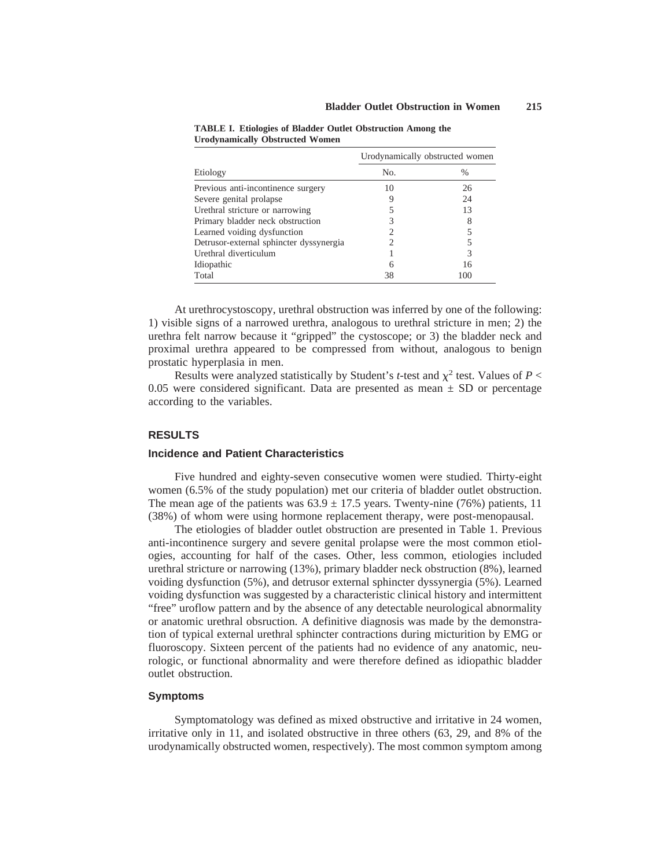| Etiology                                | Urodynamically obstructed women |     |
|-----------------------------------------|---------------------------------|-----|
|                                         | No.                             | %   |
| Previous anti-incontinence surgery      | 10                              | 26  |
| Severe genital prolapse                 |                                 | 24  |
| Urethral stricture or narrowing         |                                 | 13  |
| Primary bladder neck obstruction        |                                 | 8   |
| Learned voiding dysfunction             |                                 |     |
| Detrusor-external sphincter dyssynergia |                                 |     |
| Urethral diverticulum                   |                                 | 3   |
| Idiopathic                              | 6                               | 16  |
| Total                                   | 38                              | 100 |

**TABLE I. Etiologies of Bladder Outlet Obstruction Among the Urodynamically Obstructed Women**

At urethrocystoscopy, urethral obstruction was inferred by one of the following: 1) visible signs of a narrowed urethra, analogous to urethral stricture in men; 2) the urethra felt narrow because it "gripped" the cystoscope; or 3) the bladder neck and proximal urethra appeared to be compressed from without, analogous to benign prostatic hyperplasia in men.

Results were analyzed statistically by Student's *t*-test and  $\chi^2$  test. Values of *P* < 0.05 were considered significant. Data are presented as mean  $\pm$  SD or percentage according to the variables.

#### **RESULTS**

## **Incidence and Patient Characteristics**

Five hundred and eighty-seven consecutive women were studied. Thirty-eight women (6.5% of the study population) met our criteria of bladder outlet obstruction. The mean age of the patients was  $63.9 \pm 17.5$  years. Twenty-nine (76%) patients, 11 (38%) of whom were using hormone replacement therapy, were post-menopausal.

The etiologies of bladder outlet obstruction are presented in Table 1. Previous anti-incontinence surgery and severe genital prolapse were the most common etiologies, accounting for half of the cases. Other, less common, etiologies included urethral stricture or narrowing (13%), primary bladder neck obstruction (8%), learned voiding dysfunction (5%), and detrusor external sphincter dyssynergia (5%). Learned voiding dysfunction was suggested by a characteristic clinical history and intermittent "free" uroflow pattern and by the absence of any detectable neurological abnormality or anatomic urethral obsruction. A definitive diagnosis was made by the demonstration of typical external urethral sphincter contractions during micturition by EMG or fluoroscopy. Sixteen percent of the patients had no evidence of any anatomic, neurologic, or functional abnormality and were therefore defined as idiopathic bladder outlet obstruction.

## **Symptoms**

Symptomatology was defined as mixed obstructive and irritative in 24 women, irritative only in 11, and isolated obstructive in three others (63, 29, and 8% of the urodynamically obstructed women, respectively). The most common symptom among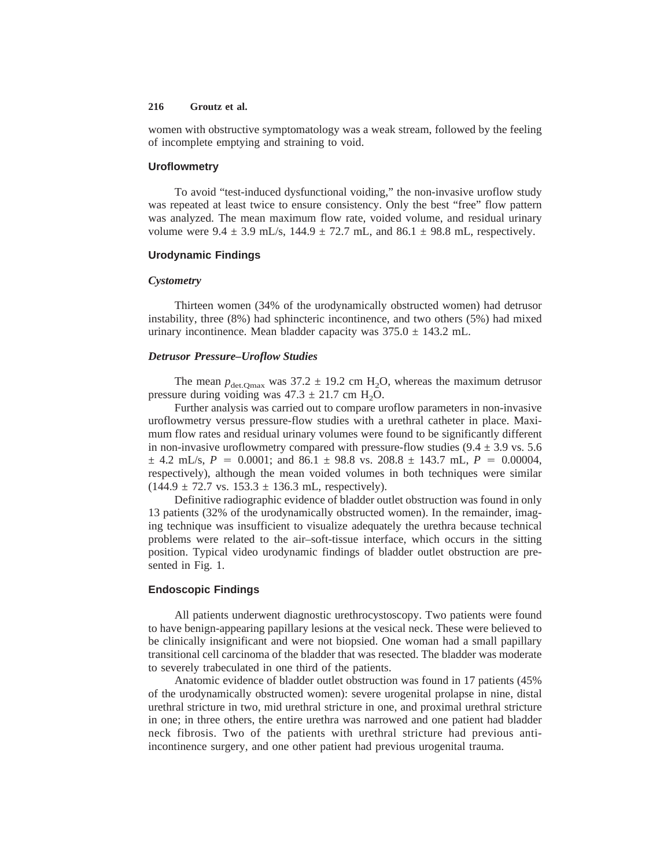women with obstructive symptomatology was a weak stream, followed by the feeling of incomplete emptying and straining to void.

#### **Uroflowmetry**

To avoid "test-induced dysfunctional voiding," the non-invasive uroflow study was repeated at least twice to ensure consistency. Only the best "free" flow pattern was analyzed. The mean maximum flow rate, voided volume, and residual urinary volume were  $9.4 \pm 3.9$  mL/s,  $144.9 \pm 72.7$  mL, and  $86.1 \pm 98.8$  mL, respectively.

## **Urodynamic Findings**

#### *Cystometry*

Thirteen women (34% of the urodynamically obstructed women) had detrusor instability, three (8%) had sphincteric incontinence, and two others (5%) had mixed urinary incontinence. Mean bladder capacity was  $375.0 \pm 143.2$  mL.

#### *Detrusor Pressure–Uroflow Studies*

The mean  $p_{\text{det.Omax}}$  was 37.2  $\pm$  19.2 cm H<sub>2</sub>O, whereas the maximum detrusor pressure during voiding was  $47.3 \pm 21.7$  cm H<sub>2</sub>O.

Further analysis was carried out to compare uroflow parameters in non-invasive uroflowmetry versus pressure-flow studies with a urethral catheter in place. Maximum flow rates and residual urinary volumes were found to be significantly different in non-invasive uroflowmetry compared with pressure-flow studies  $(9.4 \pm 3.9 \text{ vs. } 5.6$  $\pm$  4.2 mL/s,  $P = 0.0001$ ; and 86.1  $\pm$  98.8 vs. 208.8  $\pm$  143.7 mL,  $P = 0.00004$ , respectively), although the mean voided volumes in both techniques were similar  $(144.9 \pm 72.7 \text{ vs. } 153.3 \pm 136.3 \text{ mL}, \text{ respectively}).$ 

Definitive radiographic evidence of bladder outlet obstruction was found in only 13 patients (32% of the urodynamically obstructed women). In the remainder, imaging technique was insufficient to visualize adequately the urethra because technical problems were related to the air–soft-tissue interface, which occurs in the sitting position. Typical video urodynamic findings of bladder outlet obstruction are presented in Fig. 1.

# **Endoscopic Findings**

All patients underwent diagnostic urethrocystoscopy. Two patients were found to have benign-appearing papillary lesions at the vesical neck. These were believed to be clinically insignificant and were not biopsied. One woman had a small papillary transitional cell carcinoma of the bladder that was resected. The bladder was moderate to severely trabeculated in one third of the patients.

Anatomic evidence of bladder outlet obstruction was found in 17 patients (45% of the urodynamically obstructed women): severe urogenital prolapse in nine, distal urethral stricture in two, mid urethral stricture in one, and proximal urethral stricture in one; in three others, the entire urethra was narrowed and one patient had bladder neck fibrosis. Two of the patients with urethral stricture had previous antiincontinence surgery, and one other patient had previous urogenital trauma.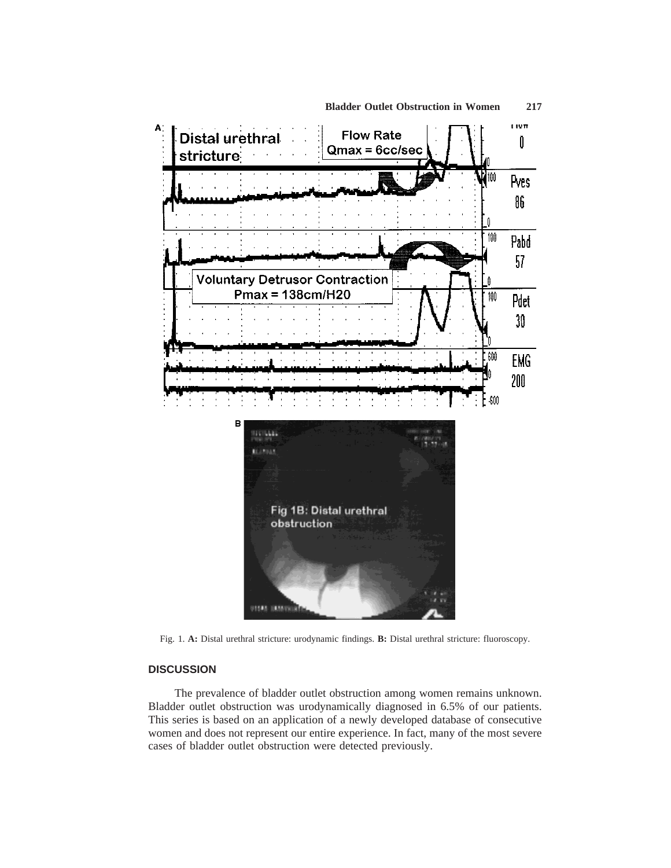

**Bladder Outlet Obstruction in Women 217**

Fig. 1. **A:** Distal urethral stricture: urodynamic findings. **B:** Distal urethral stricture: fluoroscopy.

# **DISCUSSION**

The prevalence of bladder outlet obstruction among women remains unknown. Bladder outlet obstruction was urodynamically diagnosed in 6.5% of our patients. This series is based on an application of a newly developed database of consecutive women and does not represent our entire experience. In fact, many of the most severe cases of bladder outlet obstruction were detected previously.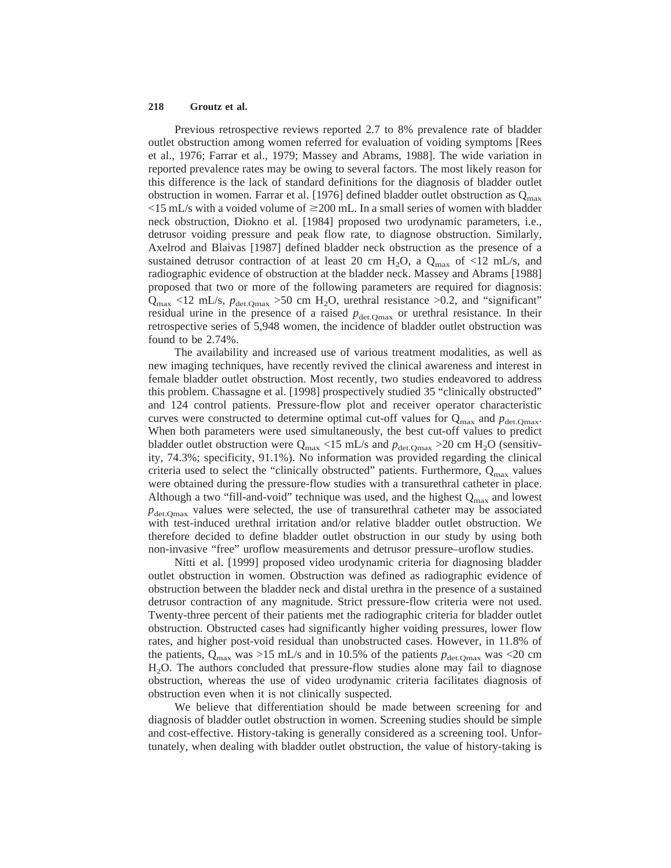Previous retrospective reviews reported 2.7 to 8% prevalence rate of bladder outlet obstruction among women referred for evaluation of voiding symptoms [Rees et al., 1976; Farrar et al., 1979; Massey and Abrams, 1988]. The wide variation in reported prevalence rates may be owing to several factors. The most likely reason for this difference is the lack of standard definitions for the diagnosis of bladder outlet obstruction in women. Farrar et al. [1976] defined bladder outlet obstruction as  $Q_{\text{max}}$  $\langle$ 15 mL/s with a voided volume of  $\geq$ 200 mL. In a small series of women with bladder neck obstruction, Diokno et al. [1984] proposed two urodynamic parameters, i.e., detrusor voiding pressure and peak flow rate, to diagnose obstruction. Similarly, Axelrod and Blaivas [1987] defined bladder neck obstruction as the presence of a sustained detrusor contraction of at least 20 cm  $H_2O$ , a  $Q_{max}$  of <12 mL/s, and radiographic evidence of obstruction at the bladder neck. Massey and Abrams [1988] proposed that two or more of the following parameters are required for diagnosis:  $Q_{\text{max}}$  <12 mL/s,  $p_{\text{det}.Q_{\text{max}}}$  >50 cm H<sub>2</sub>O, urethral resistance >0.2, and "significant" residual urine in the presence of a raised  $p_{\text{det,Qmax}}$  or urethral resistance. In their retrospective series of 5,948 women, the incidence of bladder outlet obstruction was found to be 2.74%.

The availability and increased use of various treatment modalities, as well as new imaging techniques, have recently revived the clinical awareness and interest in female bladder outlet obstruction. Most recently, two studies endeavored to address this problem. Chassagne et al. [1998] prospectively studied 35 "clinically obstructed" and 124 control patients. Pressure-flow plot and receiver operator characteristic curves were constructed to determine optimal cut-off values for  $Q_{\text{max}}$  and  $p_{\text{det.Omax}}$ . When both parameters were used simultaneously, the best cut-off values to predict bladder outlet obstruction were  $Q_{\text{max}}$  <15 mL/s and  $p_{\text{det,Qmax}}$  >20 cm H<sub>2</sub>O (sensitivity, 74.3%; specificity, 91.1%). No information was provided regarding the clinical criteria used to select the "clinically obstructed" patients. Furthermore,  $Q_{\text{max}}$  values were obtained during the pressure-flow studies with a transurethral catheter in place. Although a two "fill-and-void" technique was used, and the highest  $Q_{\text{max}}$  and lowest  $p_{\text{det.Omax}}$  values were selected, the use of transurethral catheter may be associated with test-induced urethral irritation and/or relative bladder outlet obstruction. We therefore decided to define bladder outlet obstruction in our study by using both non-invasive "free" uroflow measurements and detrusor pressure–uroflow studies.

Nitti et al. [1999] proposed video urodynamic criteria for diagnosing bladder outlet obstruction in women. Obstruction was defined as radiographic evidence of obstruction between the bladder neck and distal urethra in the presence of a sustained detrusor contraction of any magnitude. Strict pressure-flow criteria were not used. Twenty-three percent of their patients met the radiographic criteria for bladder outlet obstruction. Obstructed cases had significantly higher voiding pressures, lower flow rates, and higher post-void residual than unobstructed cases. However, in 11.8% of the patients,  $Q_{\text{max}}$  was >15 mL/s and in 10.5% of the patients  $p_{\text{det.Omax}}$  was <20 cm H2O. The authors concluded that pressure-flow studies alone may fail to diagnose obstruction, whereas the use of video urodynamic criteria facilitates diagnosis of obstruction even when it is not clinically suspected.

We believe that differentiation should be made between screening for and diagnosis of bladder outlet obstruction in women. Screening studies should be simple and cost-effective. History-taking is generally considered as a screening tool. Unfortunately, when dealing with bladder outlet obstruction, the value of history-taking is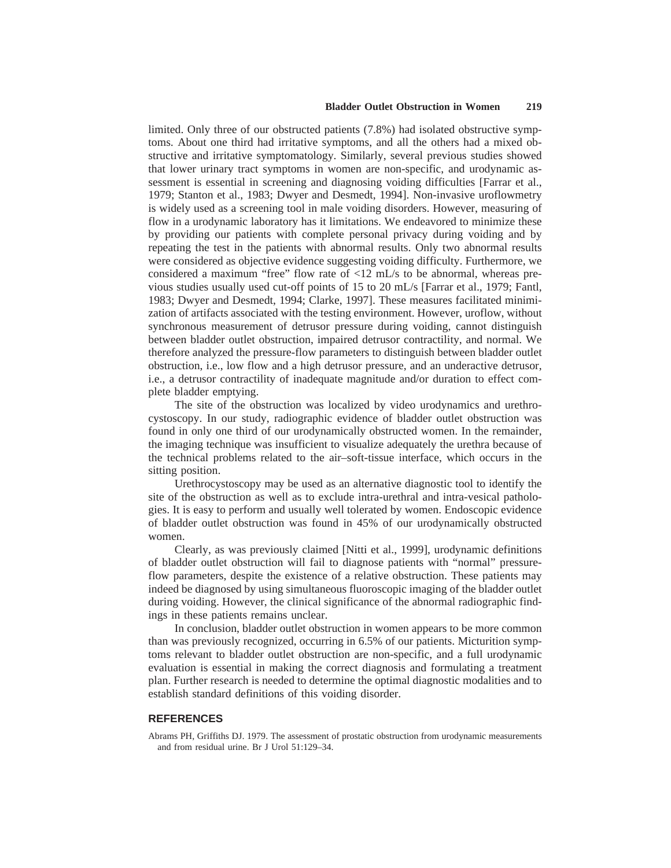## **Bladder Outlet Obstruction in Women 219**

limited. Only three of our obstructed patients (7.8%) had isolated obstructive symptoms. About one third had irritative symptoms, and all the others had a mixed obstructive and irritative symptomatology. Similarly, several previous studies showed that lower urinary tract symptoms in women are non-specific, and urodynamic assessment is essential in screening and diagnosing voiding difficulties [Farrar et al., 1979; Stanton et al., 1983; Dwyer and Desmedt, 1994]. Non-invasive uroflowmetry is widely used as a screening tool in male voiding disorders. However, measuring of flow in a urodynamic laboratory has it limitations. We endeavored to minimize these by providing our patients with complete personal privacy during voiding and by repeating the test in the patients with abnormal results. Only two abnormal results were considered as objective evidence suggesting voiding difficulty. Furthermore, we considered a maximum "free" flow rate of  $\langle 12 \text{ mL/s}$  to be abnormal, whereas previous studies usually used cut-off points of 15 to 20 mL/s [Farrar et al., 1979; Fantl, 1983; Dwyer and Desmedt, 1994; Clarke, 1997]. These measures facilitated minimization of artifacts associated with the testing environment. However, uroflow, without synchronous measurement of detrusor pressure during voiding, cannot distinguish between bladder outlet obstruction, impaired detrusor contractility, and normal. We therefore analyzed the pressure-flow parameters to distinguish between bladder outlet obstruction, i.e., low flow and a high detrusor pressure, and an underactive detrusor, i.e., a detrusor contractility of inadequate magnitude and/or duration to effect complete bladder emptying.

The site of the obstruction was localized by video urodynamics and urethrocystoscopy. In our study, radiographic evidence of bladder outlet obstruction was found in only one third of our urodynamically obstructed women. In the remainder, the imaging technique was insufficient to visualize adequately the urethra because of the technical problems related to the air–soft-tissue interface, which occurs in the sitting position.

Urethrocystoscopy may be used as an alternative diagnostic tool to identify the site of the obstruction as well as to exclude intra-urethral and intra-vesical pathologies. It is easy to perform and usually well tolerated by women. Endoscopic evidence of bladder outlet obstruction was found in 45% of our urodynamically obstructed women.

Clearly, as was previously claimed [Nitti et al., 1999], urodynamic definitions of bladder outlet obstruction will fail to diagnose patients with "normal" pressureflow parameters, despite the existence of a relative obstruction. These patients may indeed be diagnosed by using simultaneous fluoroscopic imaging of the bladder outlet during voiding. However, the clinical significance of the abnormal radiographic findings in these patients remains unclear.

In conclusion, bladder outlet obstruction in women appears to be more common than was previously recognized, occurring in 6.5% of our patients. Micturition symptoms relevant to bladder outlet obstruction are non-specific, and a full urodynamic evaluation is essential in making the correct diagnosis and formulating a treatment plan. Further research is needed to determine the optimal diagnostic modalities and to establish standard definitions of this voiding disorder.

#### **REFERENCES**

Abrams PH, Griffiths DJ. 1979. The assessment of prostatic obstruction from urodynamic measurements and from residual urine. Br J Urol 51:129–34.